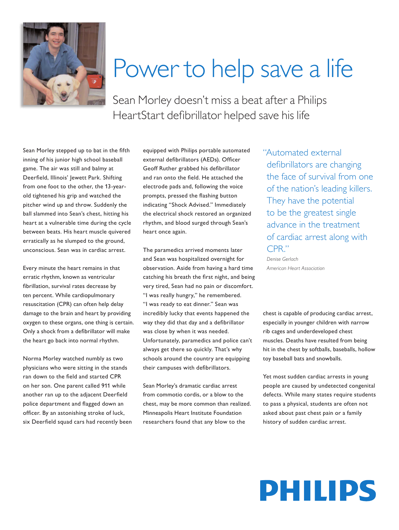

## Power to help save a life

Sean Morley doesn't miss a beat after a Philips HeartStart defibrillator helped save his life

Sean Morley stepped up to bat in the fifth inning of his junior high school baseball game. The air was still and balmy at Deerfield, Illinois' Jewett Park. Shifting from one foot to the other, the 13-yearold tightened his grip and watched the pitcher wind up and throw. Suddenly the ball slammed into Sean's chest, hitting his heart at a vulnerable time during the cycle between beats. His heart muscle quivered erratically as he slumped to the ground, unconscious. Sean was in cardiac arrest.

Every minute the heart remains in that erratic rhythm, known as ventricular fibrillation, survival rates decrease by ten percent. While cardiopulmonary resuscitation (CPR) can often help delay damage to the brain and heart by providing oxygen to these organs, one thing is certain. Only a shock from a defibrillator will make the heart go back into normal rhythm.

Norma Morley watched numbly as two physicians who were sitting in the stands ran down to the field and started CPR on her son. One parent called 911 while another ran up to the adjacent Deerfield police department and flagged down an officer. By an astonishing stroke of luck, six Deerfield squad cars had recently been equipped with Philips portable automated external defibrillators (AEDs). Officer Geoff Ruther grabbed his defibrillator and ran onto the field. He attached the electrode pads and, following the voice prompts, pressed the flashing button indicating "Shock Advised." Immediately the electrical shock restored an organized rhythm, and blood surged through Sean's heart once again.

The paramedics arrived moments later and Sean was hospitalized overnight for observation. Aside from having a hard time catching his breath the first night, and being very tired, Sean had no pain or discomfort. "I was really hungry," he remembered. "I was ready to eat dinner." Sean was incredibly lucky that events happened the way they did that day and a defibrillator was close by when it was needed. Unfortunately, paramedics and police can't always get there so quickly. That's why schools around the country are equipping their campuses with defibrillators.

Sean Morley's dramatic cardiac arrest from commotio cordis, or a blow to the chest, may be more common than realized. Minneapolis Heart Institute Foundation researchers found that any blow to the

"Automated external defibrillators are changing the face of survival from one of the nation's leading killers. They have the potential to be the greatest single advance in the treatment of cardiac arrest along with CPR."

 *Denise Gerlach American Heart Association*

chest is capable of producing cardiac arrest, especially in younger children with narrow rib cages and underdeveloped chest muscles. Deaths have resulted from being hit in the chest by softballs, baseballs, hollow toy baseball bats and snowballs.

Yet most sudden cardiac arrests in young people are caused by undetected congenital defects. While many states require students to pass a physical, students are often not asked about past chest pain or a family history of sudden cardiac arrest.

## **PHILIPS**